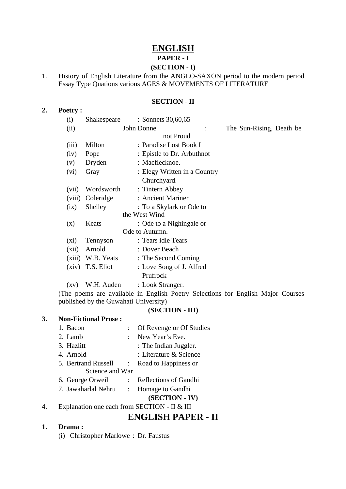## **ENGLISH PAPER - I**

# **(SECTION - I)**

1. History of English Literature from the ANGLO-SAXON period to the modern period Essay Type Quations various AGES & MOVEMENTS OF LITERATURE

### **SECTION - II**

|               | (i)            | Shakespeare       | : Sonnets 30,60,65           |                          |  |  |  |
|---------------|----------------|-------------------|------------------------------|--------------------------|--|--|--|
|               | (ii)           | John Donne        |                              | The Sun-Rising, Death be |  |  |  |
|               | not Proud      |                   |                              |                          |  |  |  |
|               | (iii)          | Milton            | : Paradise Lost Book I       |                          |  |  |  |
|               | (iv)           | Pope              | : Epistle to Dr. Arbuthnot   |                          |  |  |  |
|               | (v)            | Dryden            | : Macflecknoe.               |                          |  |  |  |
|               | (vi)           | Gray              | : Elegy Written in a Country |                          |  |  |  |
|               |                |                   | Churchyard.                  |                          |  |  |  |
|               | (vii)          | Wordsworth        | : Tintern Abbey              |                          |  |  |  |
|               | (viii)         | Coleridge         | : Ancient Mariner            |                          |  |  |  |
|               | (ix)           | Shelley           | : To a Skylark or Ode to     |                          |  |  |  |
| the West Wind |                |                   |                              |                          |  |  |  |
|               | (x)            | Keats             | : Ode to a Nighingale or     |                          |  |  |  |
|               | Ode to Autumn. |                   |                              |                          |  |  |  |
|               | (xi)           | Tennyson          | : Tears idle Tears           |                          |  |  |  |
|               | (xii)          | Arnold            | : Dover Beach                |                          |  |  |  |
|               |                | (xiii) W.B. Yeats | : The Second Coming          |                          |  |  |  |
|               | (xiv)          | T.S. Eliot        | : Love Song of J. Alfred     |                          |  |  |  |
|               |                |                   | Prufrock                     |                          |  |  |  |
|               | (xv)           | W.H. Auden        | : Look Stranger.             |                          |  |  |  |

(The poems are available in English Poetry Selections for English Major Courses published by the Guwahati University)

#### **(SECTION - III)**

#### **3. Non-Fictional Prose :**

**2. Poetry :**

1. Bacon : Of Revenge or Of Studies 2. Lamb : New Year's Eve. 3. Hazlitt : The Indian Juggler. 4. Arnold : Literature & Science 5. Bertrand Russell : Road to Happiness or Science and War 6. George Orweil : Reflections of Gandhi 7. Jawaharlal Nehru : Homage to Gandhi

#### **(SECTION - IV)**

4. Explanation one each from SECTION - II & III

## **ENGLISH PAPER - II**

#### **1. Drama :**

(i) Christopher Marlowe : Dr. Faustus